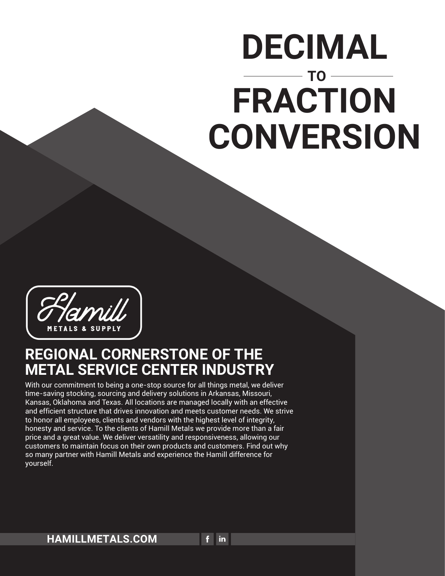With our commitment to being a one-stop source for all things metal, we deliver time-saving stocking, sourcing and delivery solutions in Arkansas, Missouri, Kansas, Oklahoma and Texas. All locations are managed locally with an effective and efficient structure that drives innovation and meets customer needs. We strive to honor all employees, clients and vendors with the highest level of integrity, honesty and service. To the clients of Hamill Metals we provide more than a fair price and a great value. We deliver versatility and responsiveness, allowing our customers to maintain focus on their own products and customers. Find out why

 $f$  in

#### so many partner with Hamill Metals and experience the Hamill difference for yourself.

### **REGIONAL CORNERSTONE OF THE METAL SERVICE CENTER INDUSTRY**

# **DECIMAL TO FRACTION CONVERSION**



#### **HAMILLMETALS.COM**